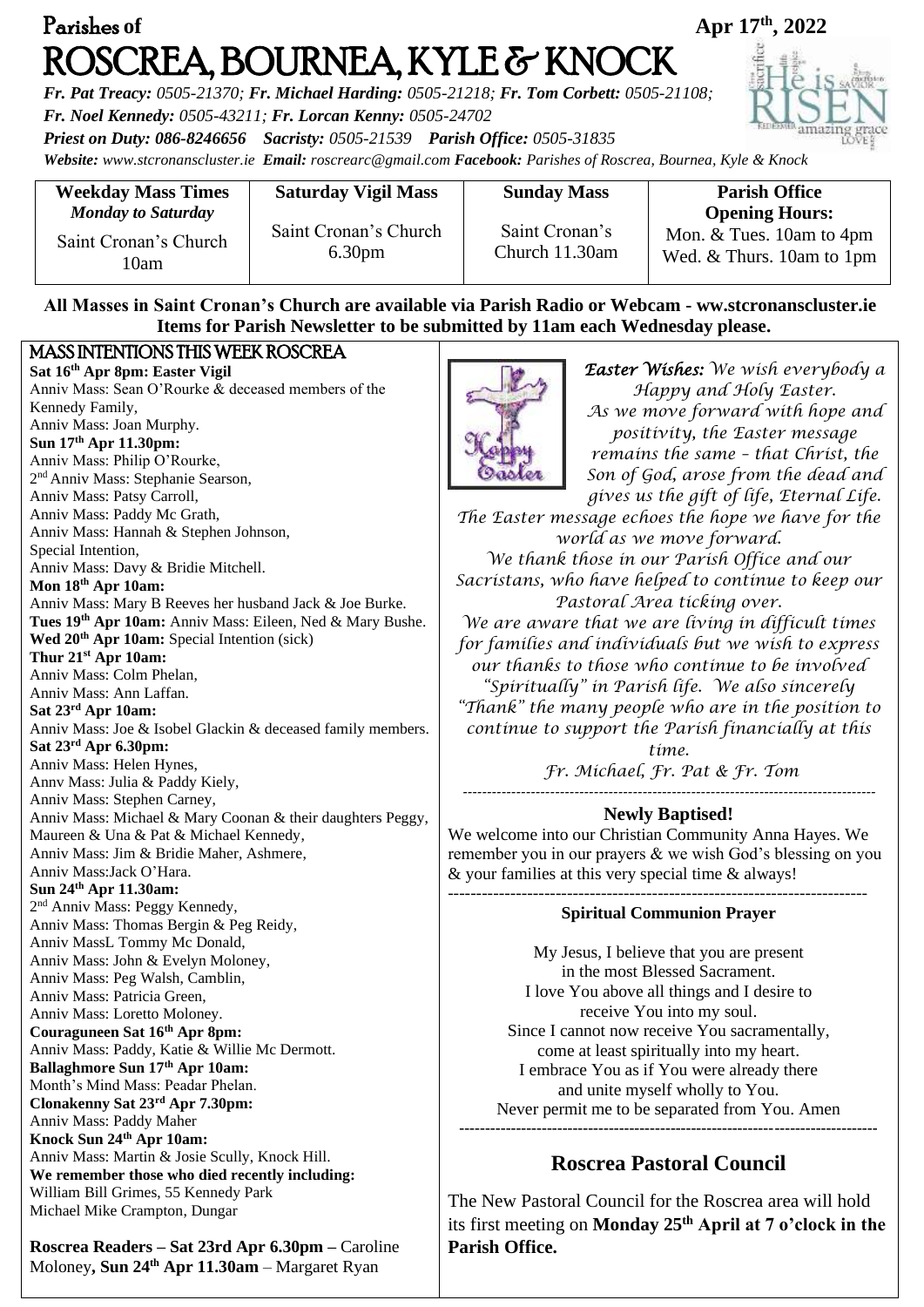| Parishes of                                                                                                                                                                                                                                                                                                                                                                                 |                            | Apr 17th, 2022                                                                                                                    |                                                                                                                                           |
|---------------------------------------------------------------------------------------------------------------------------------------------------------------------------------------------------------------------------------------------------------------------------------------------------------------------------------------------------------------------------------------------|----------------------------|-----------------------------------------------------------------------------------------------------------------------------------|-------------------------------------------------------------------------------------------------------------------------------------------|
| ROSCREA, BOURNEA, KYLE & KNOCK<br>Fr. Pat Treacy: 0505-21370; Fr. Michael Harding: 0505-21218; Fr. Tom Corbett: 0505-21108;<br>Fr. Noel Kennedy: 0505-43211; Fr. Lorcan Kenny: 0505-24702<br>Priest on Duty: 086-8246656 Sacristy: 0505-21539 Parish Office: 0505-31835<br>Website: www.stcronanscluster.ie Email: roscrearc@gmail.com Facebook: Parishes of Roscrea, Bournea, Kyle & Knock |                            |                                                                                                                                   |                                                                                                                                           |
|                                                                                                                                                                                                                                                                                                                                                                                             |                            |                                                                                                                                   |                                                                                                                                           |
| <b>Weekday Mass Times</b><br><b>Monday to Saturday</b>                                                                                                                                                                                                                                                                                                                                      | <b>Saturday Vigil Mass</b> | <b>Sunday Mass</b>                                                                                                                | <b>Parish Office</b>                                                                                                                      |
|                                                                                                                                                                                                                                                                                                                                                                                             | Saint Cronan's Church      | Saint Cronan's                                                                                                                    | <b>Opening Hours:</b><br>Mon. & Tues. 10am to 4pm                                                                                         |
| Saint Cronan's Church<br>10am                                                                                                                                                                                                                                                                                                                                                               | 6.30 <sub>pm</sub>         | Church 11.30am                                                                                                                    | Wed. & Thurs. 10am to 1pm                                                                                                                 |
|                                                                                                                                                                                                                                                                                                                                                                                             |                            | Items for Parish Newsletter to be submitted by 11am each Wednesday please.                                                        | All Masses in Saint Cronan's Church are available via Parish Radio or Webcam - ww.stcronanscluster.ie                                     |
| MASS INTENTIONS THIS WEEK ROSCREA                                                                                                                                                                                                                                                                                                                                                           |                            |                                                                                                                                   |                                                                                                                                           |
| Sat 16th Apr 8pm: Easter Vigil<br>Anniv Mass: Sean O'Rourke & deceased members of the<br>Kennedy Family,<br>Anniv Mass: Joan Murphy.                                                                                                                                                                                                                                                        |                            |                                                                                                                                   | <b>Easter Wishes:</b> We wish everybody a<br>Happy and Holy Easter.<br>As we move forward with hope and<br>positivity, the Easter message |
| Sun 17th Apr 11.30pm:                                                                                                                                                                                                                                                                                                                                                                       |                            | remains the same - that Christ, the                                                                                               |                                                                                                                                           |
| Anniv Mass: Philip O'Rourke,<br>2 <sup>nd</sup> Anniv Mass: Stephanie Searson,                                                                                                                                                                                                                                                                                                              |                            | Son of God, arose from the dead and                                                                                               |                                                                                                                                           |
| Anniv Mass: Patsy Carroll,                                                                                                                                                                                                                                                                                                                                                                  |                            | gives us the gift of life, Eternal Life.                                                                                          |                                                                                                                                           |
| Anniv Mass: Paddy Mc Grath,                                                                                                                                                                                                                                                                                                                                                                 |                            | The Easter message echoes the hope we have for the                                                                                |                                                                                                                                           |
| Anniv Mass: Hannah & Stephen Johnson,<br>Special Intention,                                                                                                                                                                                                                                                                                                                                 |                            | world as we move forward.                                                                                                         |                                                                                                                                           |
| Anniv Mass: Davy & Bridie Mitchell.                                                                                                                                                                                                                                                                                                                                                         |                            | We thank those in our Parish Office and our                                                                                       |                                                                                                                                           |
| Mon 18th Apr 10am:                                                                                                                                                                                                                                                                                                                                                                          |                            | Sacristans, who have helped to continue to keep our                                                                               |                                                                                                                                           |
| Anniv Mass: Mary B Reeves her husband Jack & Joe Burke.                                                                                                                                                                                                                                                                                                                                     |                            | Pastoral Area ticking over.                                                                                                       |                                                                                                                                           |
| Tues 19th Apr 10am: Anniv Mass: Eileen, Ned & Mary Bushe.<br>Wed 20 <sup>th</sup> Apr 10am: Special Intention (sick)                                                                                                                                                                                                                                                                        |                            | We are aware that we are living in difficult times<br>for families and individuals but we wish to express                         |                                                                                                                                           |
| Thur 21 <sup>st</sup> Apr 10am:                                                                                                                                                                                                                                                                                                                                                             |                            | our thanks to those who continue to be involved                                                                                   |                                                                                                                                           |
| Anniv Mass: Colm Phelan,                                                                                                                                                                                                                                                                                                                                                                    |                            | "Spiritually" in Parish life. We also sincerely                                                                                   |                                                                                                                                           |
| Anniv Mass: Ann Laffan.<br>Sat 23rd Apr 10am:                                                                                                                                                                                                                                                                                                                                               |                            | "Thank" the many people who are in the position to                                                                                |                                                                                                                                           |
| Anniv Mass: Joe & Isobel Glackin & deceased family members.                                                                                                                                                                                                                                                                                                                                 |                            | continue to support the Parish financially at this                                                                                |                                                                                                                                           |
| Sat 23 <sup>rd</sup> Apr 6.30pm:                                                                                                                                                                                                                                                                                                                                                            |                            |                                                                                                                                   | time.                                                                                                                                     |
| Anniv Mass: Helen Hynes,<br>Anny Mass: Julia & Paddy Kiely,                                                                                                                                                                                                                                                                                                                                 |                            | Fr. Michael, Fr. Pat & Fr. Tom                                                                                                    |                                                                                                                                           |
| Anniv Mass: Stephen Carney,                                                                                                                                                                                                                                                                                                                                                                 |                            |                                                                                                                                   |                                                                                                                                           |
| Anniv Mass: Michael & Mary Coonan & their daughters Peggy,                                                                                                                                                                                                                                                                                                                                  |                            | <b>Newly Baptised!</b>                                                                                                            |                                                                                                                                           |
| Maureen & Una & Pat & Michael Kennedy,                                                                                                                                                                                                                                                                                                                                                      |                            | We welcome into our Christian Community Anna Hayes. We                                                                            |                                                                                                                                           |
| Anniv Mass: Jim & Bridie Maher, Ashmere,<br>Anniv Mass:Jack O'Hara.                                                                                                                                                                                                                                                                                                                         |                            | remember you in our prayers & we wish God's blessing on you<br>& your families at this very special time & always!                |                                                                                                                                           |
| Sun 24th Apr 11.30am:                                                                                                                                                                                                                                                                                                                                                                       |                            |                                                                                                                                   |                                                                                                                                           |
| 2 <sup>nd</sup> Anniv Mass: Peggy Kennedy,                                                                                                                                                                                                                                                                                                                                                  |                            | <b>Spiritual Communion Prayer</b>                                                                                                 |                                                                                                                                           |
| Anniv Mass: Thomas Bergin & Peg Reidy,<br>Anniv MassL Tommy Mc Donald,                                                                                                                                                                                                                                                                                                                      |                            |                                                                                                                                   |                                                                                                                                           |
| Anniv Mass: John & Evelyn Moloney,                                                                                                                                                                                                                                                                                                                                                          |                            | My Jesus, I believe that you are present                                                                                          |                                                                                                                                           |
| Anniv Mass: Peg Walsh, Camblin,                                                                                                                                                                                                                                                                                                                                                             |                            | in the most Blessed Sacrament.<br>I love You above all things and I desire to                                                     |                                                                                                                                           |
| Anniv Mass: Patricia Green,                                                                                                                                                                                                                                                                                                                                                                 |                            | receive You into my soul.                                                                                                         |                                                                                                                                           |
| Anniv Mass: Loretto Moloney.<br>Couraguneen Sat 16th Apr 8pm:                                                                                                                                                                                                                                                                                                                               |                            | Since I cannot now receive You sacramentally,                                                                                     |                                                                                                                                           |
| Anniv Mass: Paddy, Katie & Willie Mc Dermott.                                                                                                                                                                                                                                                                                                                                               |                            | come at least spiritually into my heart.                                                                                          |                                                                                                                                           |
| Ballaghmore Sun 17th Apr 10am:                                                                                                                                                                                                                                                                                                                                                              |                            | I embrace You as if You were already there                                                                                        |                                                                                                                                           |
| Month's Mind Mass: Peadar Phelan.<br>Clonakenny Sat 23rd Apr 7.30pm:                                                                                                                                                                                                                                                                                                                        |                            | and unite myself wholly to You.<br>Never permit me to be separated from You. Amen                                                 |                                                                                                                                           |
| Anniv Mass: Paddy Maher                                                                                                                                                                                                                                                                                                                                                                     |                            |                                                                                                                                   |                                                                                                                                           |
| Knock Sun 24th Apr 10am:                                                                                                                                                                                                                                                                                                                                                                    |                            |                                                                                                                                   |                                                                                                                                           |
| Anniv Mass: Martin & Josie Scully, Knock Hill.<br>We remember those who died recently including:                                                                                                                                                                                                                                                                                            |                            | <b>Roscrea Pastoral Council</b>                                                                                                   |                                                                                                                                           |
| William Bill Grimes, 55 Kennedy Park                                                                                                                                                                                                                                                                                                                                                        |                            |                                                                                                                                   |                                                                                                                                           |
| Michael Mike Crampton, Dungar                                                                                                                                                                                                                                                                                                                                                               |                            | The New Pastoral Council for the Roscrea area will hold<br>its first meeting on Monday 25 <sup>th</sup> April at 7 o'clock in the |                                                                                                                                           |

**Parish Office.**

**Roscrea Readers – Sat 23rd Apr 6.30pm –** Caroline Moloney**, Sun 24th Apr 11.30am** – Margaret Ryan